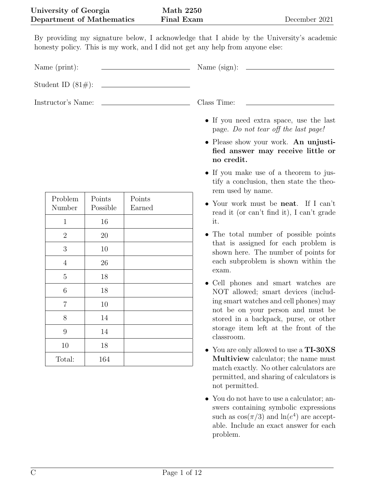By providing my signature below, I acknowledge that I abide by the University's academic honesty policy. This is my work, and I did not get any help from anyone else:

| Name $(print)$ :      | Name $(sign):$ |  |
|-----------------------|----------------|--|
| Student ID $(81\#)$ : |                |  |

Instructor's Name: Class Time:

| Problem<br>Number | Points<br>Possible | Points<br>Earned |
|-------------------|--------------------|------------------|
| $\mathbf{1}$      | 16                 |                  |
| $\overline{2}$    | 20                 |                  |
| 3                 | 10                 |                  |
| $\overline{4}$    | $26\,$             |                  |
| $\overline{5}$    | 18                 |                  |
| 6                 | 18                 |                  |
| $\overline{7}$    | 10                 |                  |
| 8                 | 14                 |                  |
| $\boldsymbol{9}$  | 14                 |                  |
| 10                | 18                 |                  |
| Total:            | 164                |                  |

- If you need extra space, use the last page. Do not tear off the last page!
- Please show your work. An unjustified answer may receive little or no credit.
- If you make use of a theorem to justify a conclusion, then state the theorem used by name.
- Your work must be neat. If I can't read it (or can't find it), I can't grade it.
- The total number of possible points that is assigned for each problem is shown here. The number of points for each subproblem is shown within the exam.
- Cell phones and smart watches are NOT allowed; smart devices (including smart watches and cell phones) may not be on your person and must be stored in a backpack, purse, or other storage item left at the front of the classroom.
- You are only allowed to use a TI-30XS Multiview calculator; the name must match exactly. No other calculators are permitted, and sharing of calculators is not permitted.
- You do not have to use a calculator; answers containing symbolic expressions such as  $\cos(\pi/3)$  and  $\ln(e^4)$  are acceptable. Include an exact answer for each problem.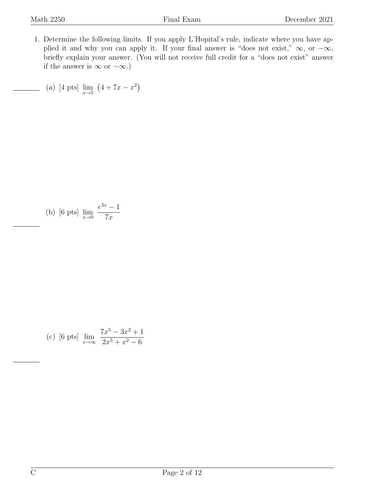- <span id="page-1-0"></span>1. Determine the following limits. If you apply L'Hopital's rule, indicate where you have applied it and why you can apply it. If your final answer is "does not exist,"  $\infty$ , or  $-\infty$ , briefly explain your answer. (You will not receive full credit for a "does not exist" answer if the answer is  $\infty$  or  $-\infty$ .)
	- (a) [4 pts]  $\lim_{x \to 5} (4 + 7x x^2)$

(b) [6 pts] 
$$
\lim_{x \to 0} \frac{e^{3x} - 1}{7x}
$$

(c) [6 pts] 
$$
\lim_{x \to \infty} \frac{7x^5 - 3x^2 + 1}{2x^5 + x^2 - 6}
$$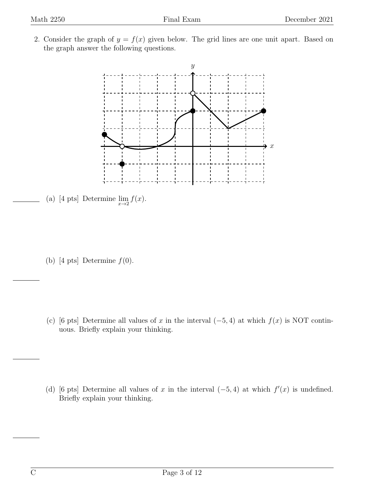<span id="page-2-0"></span>2. Consider the graph of  $y = f(x)$  given below. The grid lines are one unit apart. Based on the graph answer the following questions.



(a) [4 pts] Determine  $\lim_{x\to 2} f(x)$ .

(b) [4 pts] Determine  $f(0)$ .

(c) [6 pts] Determine all values of x in the interval  $(-5, 4)$  at which  $f(x)$  is NOT continuous. Briefly explain your thinking.

(d) [6 pts] Determine all values of x in the interval  $(-5, 4)$  at which  $f'(x)$  is undefined. Briefly explain your thinking.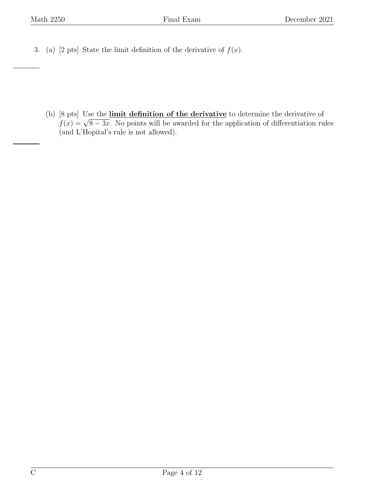<span id="page-3-0"></span>3. (a) [2 pts] State the limit definition of the derivative of  $f(x)$ .

(b) [8 pts] Use the **limit definition of the derivative** to determine the derivative of  $f(x) = \sqrt{8-3x}$ . No points will be awarded for the application of differentiation rules (and L'Hopital's rule is not allowed).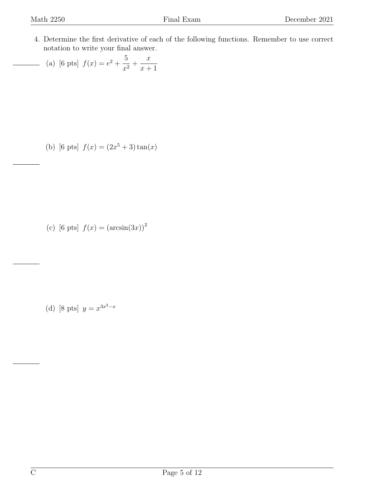<span id="page-4-0"></span>4. Determine the first derivative of each of the following functions. Remember to use correct notation to write your final answer.

(a) [6 pts] 
$$
f(x) = e^2 + \frac{5}{x^2} + \frac{x}{x+1}
$$

(b) [6 pts]  $f(x) = (2x^5 + 3) \tan(x)$ 

(c) [6 pts]  $f(x) = (\arcsin(3x))^2$ 

(d) [8 pts]  $y = x^{3x^2 - x}$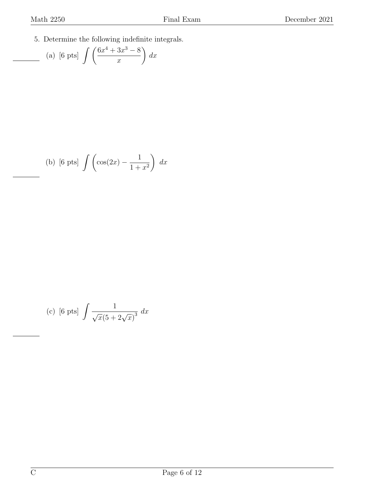<span id="page-5-0"></span>5. Determine the following indefinite integrals.

(a) [6 pts] 
$$
\int \left( \frac{6x^4 + 3x^3 - 8}{x} \right) dx
$$

(b) [6 pts] 
$$
\int \left(\cos(2x) - \frac{1}{1+x^2}\right) dx
$$

(c) [6 pts] 
$$
\int \frac{1}{\sqrt{x}(5 + 2\sqrt{x})^3} dx
$$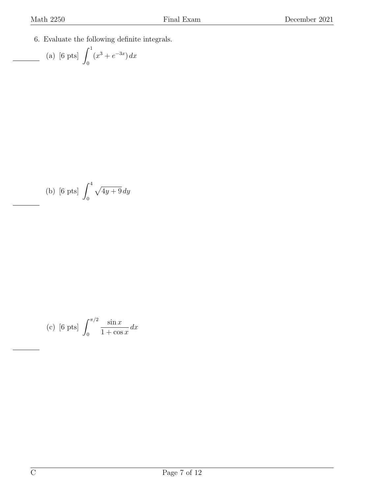<span id="page-6-0"></span>6. Evaluate the following definite integrals.

(a) [6 pts] 
$$
\int_0^1 (x^3 + e^{-3x}) dx
$$

(b) [6 pts] 
$$
\int_0^4 \sqrt{4y+9} \, dy
$$

(c) [6 pts] 
$$
\int_0^{\pi/2} \frac{\sin x}{1 + \cos x} dx
$$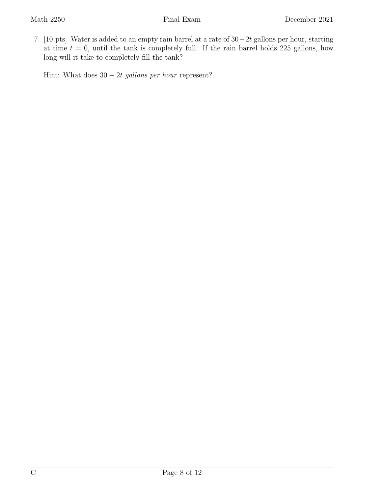<span id="page-7-0"></span>7. [10 pts] Water is added to an empty rain barrel at a rate of 30−2t gallons per hour, starting at time  $t = 0$ , until the tank is completely full. If the rain barrel holds 225 gallons, how long will it take to completely fill the tank?

Hint: What does  $30 - 2t$  gallons per hour represent?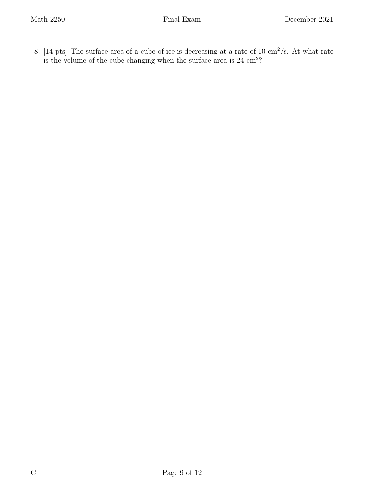<span id="page-8-0"></span>8. [14 pts] The surface area of a cube of ice is decreasing at a rate of 10  $\text{cm}^2/\text{s}$ . At what rate is the volume of the cube changing when the surface area is  $24 \text{ cm}^2$ ?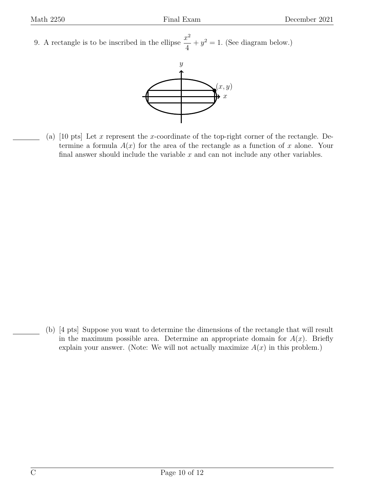<span id="page-9-0"></span>9. A rectangle is to be inscribed in the ellipse  $\frac{x^2}{4}$ 4  $+y^2 = 1$ . (See diagram below.)



(a) [10 pts] Let x represent the x-coordinate of the top-right corner of the rectangle. Determine a formula  $A(x)$  for the area of the rectangle as a function of x alone. Your final answer should include the variable  $x$  and can not include any other variables.

(b) [4 pts] Suppose you want to determine the dimensions of the rectangle that will result in the maximum possible area. Determine an appropriate domain for  $A(x)$ . Briefly explain your answer. (Note: We will not actually maximize  $A(x)$  in this problem.)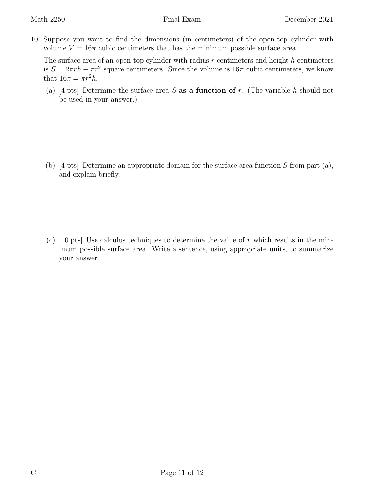<span id="page-10-0"></span>10. Suppose you want to find the dimensions (in centimeters) of the open-top cylinder with volume  $V = 16\pi$  cubic centimeters that has the minimum possible surface area.

The surface area of an open-top cylinder with radius  $r$  centimeters and height  $h$  centimeters is  $S = 2\pi rh + \pi r^2$  square centimeters. Since the volume is  $16\pi$  cubic centimeters, we know that  $16\pi = \pi r^2 h$ .

(a) [4 pts] Determine the surface area S **as a function of** r. (The variable h should not be used in your answer.)

(b) [4 pts] Determine an appropriate domain for the surface area function  $S$  from part (a), and explain briefly.

(c)  $[10 \text{ pts}]$  Use calculus techniques to determine the value of r which results in the minimum possible surface area. Write a sentence, using appropriate units, to summarize your answer.